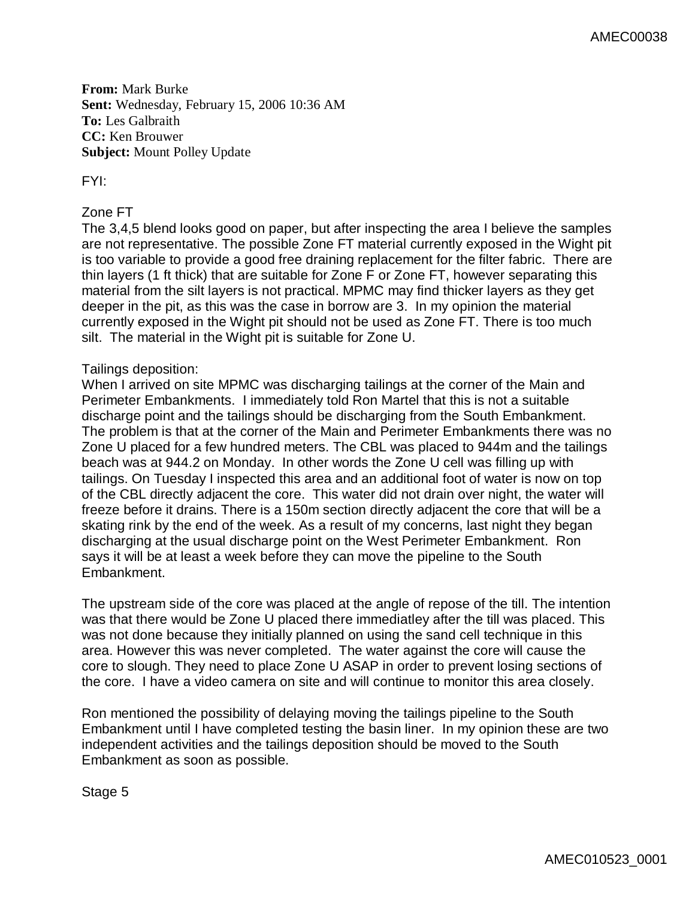**From:** Mark Burke **Sent:** Wednesday, February 15, 2006 10:36 AM **To:** Les Galbraith **CC:** Ken Brouwer **Subject:** Mount Polley Update

FYI:

## Zone FT

The 3,4,5 blend looks good on paper, but after inspecting the area I believe the samples are not representative. The possible Zone FT material currently exposed in the Wight pit is too variable to provide a good free draining replacement for the filter fabric. There are thin layers (1 ft thick) that are suitable for Zone F or Zone FT, however separating this material from the silt layers is not practical. MPMC may find thicker layers as they get deeper in the pit, as this was the case in borrow are 3. In my opinion the material currently exposed in the Wight pit should not be used as Zone FT. There is too much silt. The material in the Wight pit is suitable for Zone U.

## Tailings deposition:

When I arrived on site MPMC was discharging tailings at the corner of the Main and Perimeter Embankments. I immediately told Ron Martel that this is not a suitable discharge point and the tailings should be discharging from the South Embankment. The problem is that at the corner of the Main and Perimeter Embankments there was no Zone U placed for a few hundred meters. The CBL was placed to 944m and the tailings beach was at 944.2 on Monday. In other words the Zone U cell was filling up with tailings. On Tuesday I inspected this area and an additional foot of water is now on top of the CBL directly adjacent the core. This water did not drain over night, the water will freeze before it drains. There is a 150m section directly adjacent the core that will be a skating rink by the end of the week. As a result of my concerns, last night they began discharging at the usual discharge point on the West Perimeter Embankment. Ron says it will be at least a week before they can move the pipeline to the South Embankment.

The upstream side of the core was placed at the angle of repose of the till. The intention was that there would be Zone U placed there immediatley after the till was placed. This was not done because they initially planned on using the sand cell technique in this area. However this was never completed. The water against the core will cause the core to slough. They need to place Zone U ASAP in order to prevent losing sections of the core. I have a video camera on site and will continue to monitor this area closely.

Ron mentioned the possibility of delaying moving the tailings pipeline to the South Embankment until I have completed testing the basin liner. In my opinion these are two independent activities and the tailings deposition should be moved to the South Embankment as soon as possible.

Stage 5